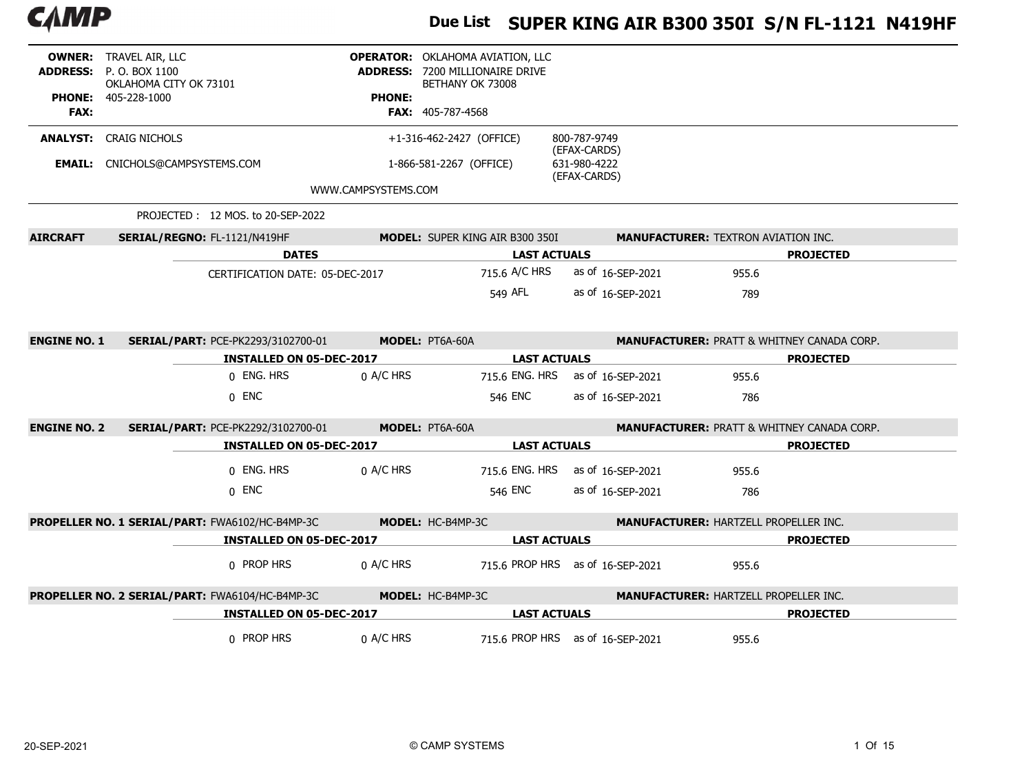

# Due List SUPER KING AIR B300 350I S/N FL-1121 N419HF

| <b>FAX:</b>         | <b>OWNER: TRAVEL AIR, LLC</b><br><b>ADDRESS:</b> P. O. BOX 1100<br>OKLAHOMA CITY OK 73101<br><b>PHONE: 405-228-1000</b> |                                 | <b>PHONE:</b><br><b>FAX: 405-787-4568</b> | <b>OPERATOR: OKLAHOMA AVIATION, LLC</b><br><b>ADDRESS: 7200 MILLIONAIRE DRIVE</b><br>BETHANY OK 73008 |                                              |                                                       |                  |
|---------------------|-------------------------------------------------------------------------------------------------------------------------|---------------------------------|-------------------------------------------|-------------------------------------------------------------------------------------------------------|----------------------------------------------|-------------------------------------------------------|------------------|
|                     | <b>ANALYST: CRAIG NICHOLS</b>                                                                                           |                                 |                                           | +1-316-462-2427 (OFFICE)                                                                              | 800-787-9749                                 |                                                       |                  |
|                     | <b>EMAIL:</b> CNICHOLS@CAMPSYSTEMS.COM                                                                                  |                                 |                                           | 1-866-581-2267 (OFFICE)                                                                               | (EFAX-CARDS)<br>631-980-4222<br>(EFAX-CARDS) |                                                       |                  |
|                     |                                                                                                                         | WWW.CAMPSYSTEMS.COM             |                                           |                                                                                                       |                                              |                                                       |                  |
|                     | PROJECTED: 12 MOS. to 20-SEP-2022                                                                                       |                                 |                                           |                                                                                                       |                                              |                                                       |                  |
| <b>AIRCRAFT</b>     | SERIAL/REGNO: FL-1121/N419HF                                                                                            |                                 |                                           | <b>MODEL: SUPER KING AIR B300 350I</b>                                                                |                                              | <b>MANUFACTURER: TEXTRON AVIATION INC.</b>            |                  |
|                     |                                                                                                                         | <b>DATES</b>                    |                                           | <b>LAST ACTUALS</b>                                                                                   |                                              |                                                       | <b>PROJECTED</b> |
|                     |                                                                                                                         | CERTIFICATION DATE: 05-DEC-2017 |                                           | 715.6 A/C HRS                                                                                         | as of 16-SEP-2021                            | 955.6                                                 |                  |
|                     |                                                                                                                         |                                 |                                           | 549 AFL                                                                                               | as of 16-SEP-2021                            | 789                                                   |                  |
|                     |                                                                                                                         |                                 |                                           |                                                                                                       |                                              |                                                       |                  |
| <b>ENGINE NO. 1</b> | <b>SERIAL/PART: PCE-PK2293/3102700-01</b>                                                                               |                                 | <b>MODEL: PT6A-60A</b>                    |                                                                                                       |                                              | <b>MANUFACTURER: PRATT &amp; WHITNEY CANADA CORP.</b> |                  |
|                     |                                                                                                                         | <b>INSTALLED ON 05-DEC-2017</b> |                                           | <b>LAST ACTUALS</b>                                                                                   |                                              |                                                       | <b>PROJECTED</b> |
|                     |                                                                                                                         |                                 |                                           |                                                                                                       |                                              |                                                       |                  |
|                     |                                                                                                                         | 0 ENG. HRS                      | $0$ A/C HRS                               |                                                                                                       | 715.6 ENG. HRS as of 16-SEP-2021             | 955.6                                                 |                  |
|                     |                                                                                                                         | $0$ ENC                         |                                           | 546 ENC                                                                                               | as of 16-SEP-2021                            | 786                                                   |                  |
| <b>ENGINE NO. 2</b> | <b>SERIAL/PART: PCE-PK2292/3102700-01</b>                                                                               |                                 | <b>MODEL: PT6A-60A</b>                    |                                                                                                       |                                              | <b>MANUFACTURER: PRATT &amp; WHITNEY CANADA CORP.</b> |                  |
|                     |                                                                                                                         | <b>INSTALLED ON 05-DEC-2017</b> |                                           | <b>LAST ACTUALS</b>                                                                                   |                                              |                                                       | <b>PROJECTED</b> |
|                     |                                                                                                                         | 0 ENG. HRS                      | 0 A/C HRS                                 |                                                                                                       | 715.6 ENG. HRS as of 16-SEP-2021             | 955.6                                                 |                  |
|                     |                                                                                                                         | $0$ ENC                         |                                           | 546 ENC                                                                                               | as of 16-SEP-2021                            | 786                                                   |                  |
|                     | PROPELLER NO. 1 SERIAL/PART: FWA6102/HC-B4MP-3C                                                                         |                                 | MODEL: HC-B4MP-3C                         |                                                                                                       |                                              | <b>MANUFACTURER: HARTZELL PROPELLER INC.</b>          |                  |
|                     |                                                                                                                         | <b>INSTALLED ON 05-DEC-2017</b> |                                           | <b>LAST ACTUALS</b>                                                                                   |                                              |                                                       | <b>PROJECTED</b> |
|                     |                                                                                                                         | 0 PROP HRS                      | $0$ A/C HRS                               |                                                                                                       | 715.6 PROP HRS as of 16-SEP-2021             | 955.6                                                 |                  |
|                     | PROPELLER NO. 2 SERIAL/PART: FWA6104/HC-B4MP-3C                                                                         |                                 | MODEL: HC-B4MP-3C                         |                                                                                                       |                                              | <b>MANUFACTURER: HARTZELL PROPELLER INC.</b>          |                  |
|                     |                                                                                                                         | <b>INSTALLED ON 05-DEC-2017</b> |                                           | <b>LAST ACTUALS</b>                                                                                   |                                              |                                                       | <b>PROJECTED</b> |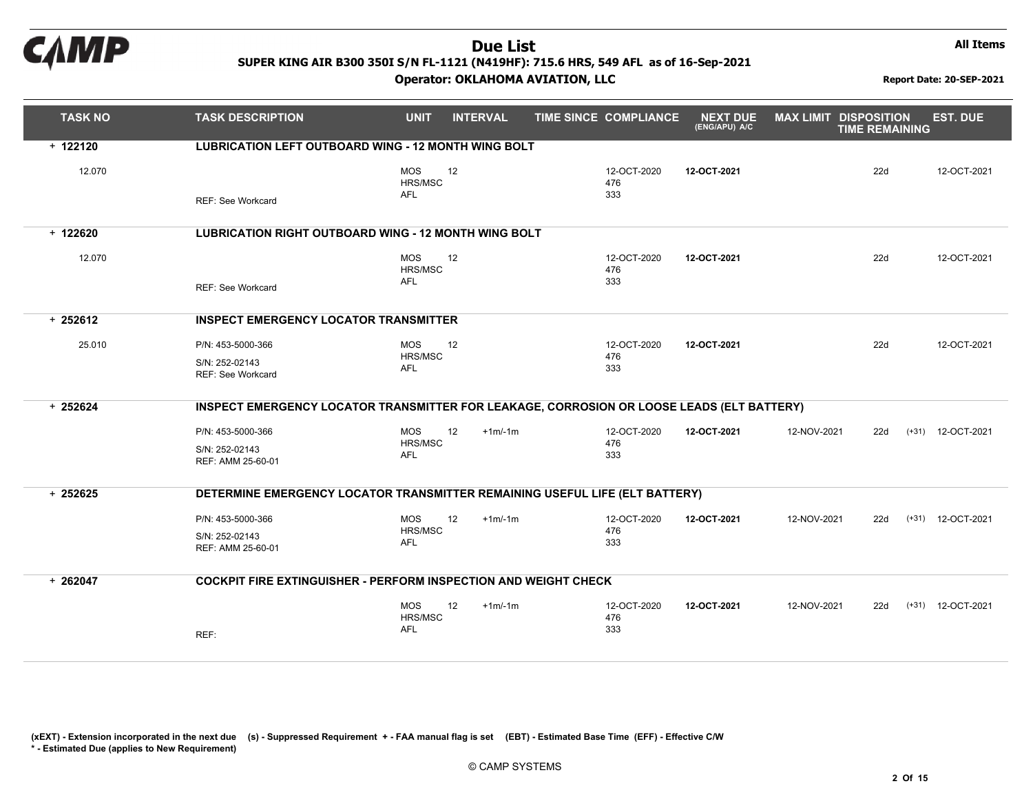

Operator: OKLAHOMA AVIATION, LLC Report Date: 20-SEP-2021

All Items

| <b>TASK NO</b> | <b>TASK DESCRIPTION</b>                                                                   | <b>UNIT</b>                                      | <b>INTERVAL</b> | TIME SINCE COMPLIANCE     | <b>NEXT DUE</b><br>(ENG/APU) A/C | <b>MAX LIMIT DISPOSITION</b> | <b>TIME REMAINING</b> | <b>EST. DUE</b>     |
|----------------|-------------------------------------------------------------------------------------------|--------------------------------------------------|-----------------|---------------------------|----------------------------------|------------------------------|-----------------------|---------------------|
| $+ 122120$     | <b>LUBRICATION LEFT OUTBOARD WING - 12 MONTH WING BOLT</b>                                |                                                  |                 |                           |                                  |                              |                       |                     |
| 12.070         | <b>REF: See Workcard</b>                                                                  | <b>MOS</b><br>12<br>HRS/MSC<br><b>AFL</b>        |                 | 12-OCT-2020<br>476<br>333 | 12-OCT-2021                      |                              | 22d                   | 12-OCT-2021         |
| $+ 122620$     | <b>LUBRICATION RIGHT OUTBOARD WING - 12 MONTH WING BOLT</b>                               |                                                  |                 |                           |                                  |                              |                       |                     |
| 12.070         | <b>REF: See Workcard</b>                                                                  | <b>MOS</b><br>12<br>HRS/MSC<br><b>AFL</b>        |                 | 12-OCT-2020<br>476<br>333 | 12-OCT-2021                      |                              | 22d                   | 12-OCT-2021         |
| $+252612$      | <b>INSPECT EMERGENCY LOCATOR TRANSMITTER</b>                                              |                                                  |                 |                           |                                  |                              |                       |                     |
| 25.010         | P/N: 453-5000-366<br>S/N: 252-02143<br><b>REF: See Workcard</b>                           | <b>MOS</b><br>12<br>HRS/MSC<br><b>AFL</b>        |                 | 12-OCT-2020<br>476<br>333 | 12-OCT-2021                      |                              | 22d                   | 12-OCT-2021         |
| $+252624$      | INSPECT EMERGENCY LOCATOR TRANSMITTER FOR LEAKAGE, CORROSION OR LOOSE LEADS (ELT BATTERY) |                                                  |                 |                           |                                  |                              |                       |                     |
|                | P/N: 453-5000-366<br>S/N: 252-02143<br>REF: AMM 25-60-01                                  | 12<br><b>MOS</b><br>HRS/MSC<br>AFL               | $+1m/1m$        | 12-OCT-2020<br>476<br>333 | 12-OCT-2021                      | 12-NOV-2021                  | 22d                   | $(+31)$ 12-OCT-2021 |
| $+252625$      | DETERMINE EMERGENCY LOCATOR TRANSMITTER REMAINING USEFUL LIFE (ELT BATTERY)               |                                                  |                 |                           |                                  |                              |                       |                     |
|                | P/N: 453-5000-366<br>S/N: 252-02143<br>REF: AMM 25-60-01                                  | <b>MOS</b><br>12<br>HRS/MSC<br><b>AFL</b>        | $+1m/1m$        | 12-OCT-2020<br>476<br>333 | 12-OCT-2021                      | 12-NOV-2021                  | 22d                   | $(+31)$ 12-OCT-2021 |
| $+262047$      | <b>COCKPIT FIRE EXTINGUISHER - PERFORM INSPECTION AND WEIGHT CHECK</b>                    |                                                  |                 |                           |                                  |                              |                       |                     |
|                | REF:                                                                                      | <b>MOS</b><br>12<br><b>HRS/MSC</b><br><b>AFL</b> | $+1m/1m$        | 12-OCT-2020<br>476<br>333 | 12-OCT-2021                      | 12-NOV-2021                  | 22d                   | $(+31)$ 12-OCT-2021 |

(xEXT) - Extension incorporated in the next due (s) - Suppressed Requirement +- FAA manual flag is set (EBT) - Estimated Base Time(EFF) - Effective C/W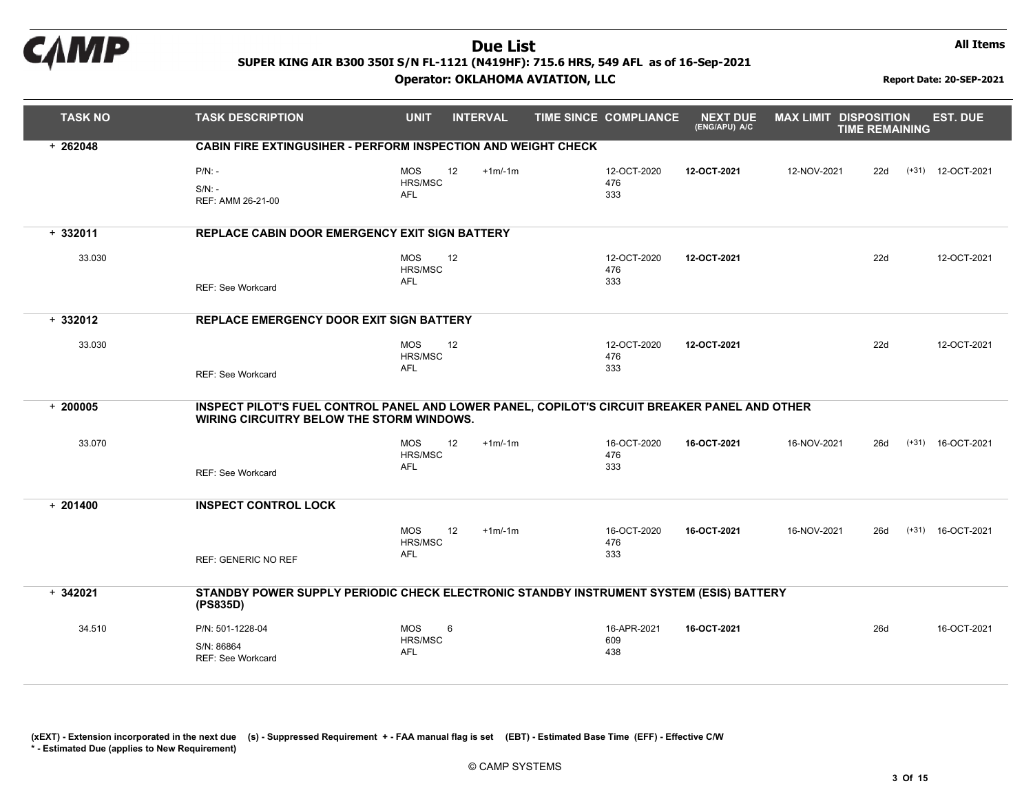

#### Operator: OKLAHOMA AVIATION, LLC Report Date: 20-SEP-2021

All Items

| <b>TASK NO</b> | <b>TASK DESCRIPTION</b>                                                                                                                    | <b>UNIT</b>                       | <b>INTERVAL</b> | <b>TIME SINCE COMPLIANCE</b> | <b>NEXT DUE</b><br>(ENG/APU) A/C | <b>MAX LIMIT DISPOSITION</b> | <b>TIME REMAINING</b> | <b>EST. DUE</b>     |
|----------------|--------------------------------------------------------------------------------------------------------------------------------------------|-----------------------------------|-----------------|------------------------------|----------------------------------|------------------------------|-----------------------|---------------------|
| $+262048$      | <b>CABIN FIRE EXTINGUSIHER - PERFORM INSPECTION AND WEIGHT CHECK</b>                                                                       |                                   |                 |                              |                                  |                              |                       |                     |
|                | $P/N$ : -<br>$S/N$ : -<br>REF: AMM 26-21-00                                                                                                | <b>MOS</b><br>HRS/MSC<br>AFL      | 12<br>$+1m/1m$  | 12-OCT-2020<br>476<br>333    | 12-OCT-2021                      | 12-NOV-2021                  | 22d                   | (+31) 12-OCT-2021   |
| $+332011$      | <b>REPLACE CABIN DOOR EMERGENCY EXIT SIGN BATTERY</b>                                                                                      |                                   |                 |                              |                                  |                              |                       |                     |
| 33.030         | <b>REF: See Workcard</b>                                                                                                                   | <b>MOS</b><br>HRS/MSC<br>AFL      | 12              | 12-OCT-2020<br>476<br>333    | 12-OCT-2021                      |                              | 22d                   | 12-OCT-2021         |
| $+332012$      | REPLACE EMERGENCY DOOR EXIT SIGN BATTERY                                                                                                   |                                   |                 |                              |                                  |                              |                       |                     |
| 33.030         | REF: See Workcard                                                                                                                          | <b>MOS</b><br>HRS/MSC<br>AFL      | 12              | 12-OCT-2020<br>476<br>333    | 12-OCT-2021                      |                              | 22d                   | 12-OCT-2021         |
| $+200005$      | INSPECT PILOT'S FUEL CONTROL PANEL AND LOWER PANEL, COPILOT'S CIRCUIT BREAKER PANEL AND OTHER<br>WIRING CIRCUITRY BELOW THE STORM WINDOWS. |                                   |                 |                              |                                  |                              |                       |                     |
| 33.070         | REF: See Workcard                                                                                                                          | <b>MOS</b><br>HRS/MSC<br>AFL      | 12<br>$+1m/1m$  | 16-OCT-2020<br>476<br>333    | 16-OCT-2021                      | 16-NOV-2021                  | 26d                   | $(+31)$ 16-OCT-2021 |
| $+201400$      | <b>INSPECT CONTROL LOCK</b>                                                                                                                |                                   |                 |                              |                                  |                              |                       |                     |
|                | <b>REF: GENERIC NO REF</b>                                                                                                                 | <b>MOS</b><br>HRS/MSC<br>AFL      | 12<br>$+1m/1m$  | 16-OCT-2020<br>476<br>333    | 16-OCT-2021                      | 16-NOV-2021                  | 26d                   | $(+31)$ 16-OCT-2021 |
| $+342021$      | STANDBY POWER SUPPLY PERIODIC CHECK ELECTRONIC STANDBY INSTRUMENT SYSTEM (ESIS) BATTERY<br>(PS835D)                                        |                                   |                 |                              |                                  |                              |                       |                     |
| 34.510         | P/N: 501-1228-04<br>S/N: 86864<br><b>REF: See Workcard</b>                                                                                 | <b>MOS</b><br>6<br>HRS/MSC<br>AFL |                 | 16-APR-2021<br>609<br>438    | 16-OCT-2021                      |                              | 26d                   | 16-OCT-2021         |

(xEXT) - Extension incorporated in the next due (s) - Suppressed Requirement +- FAA manual flag is set (EBT) - Estimated Base Time(EFF) - Effective C/W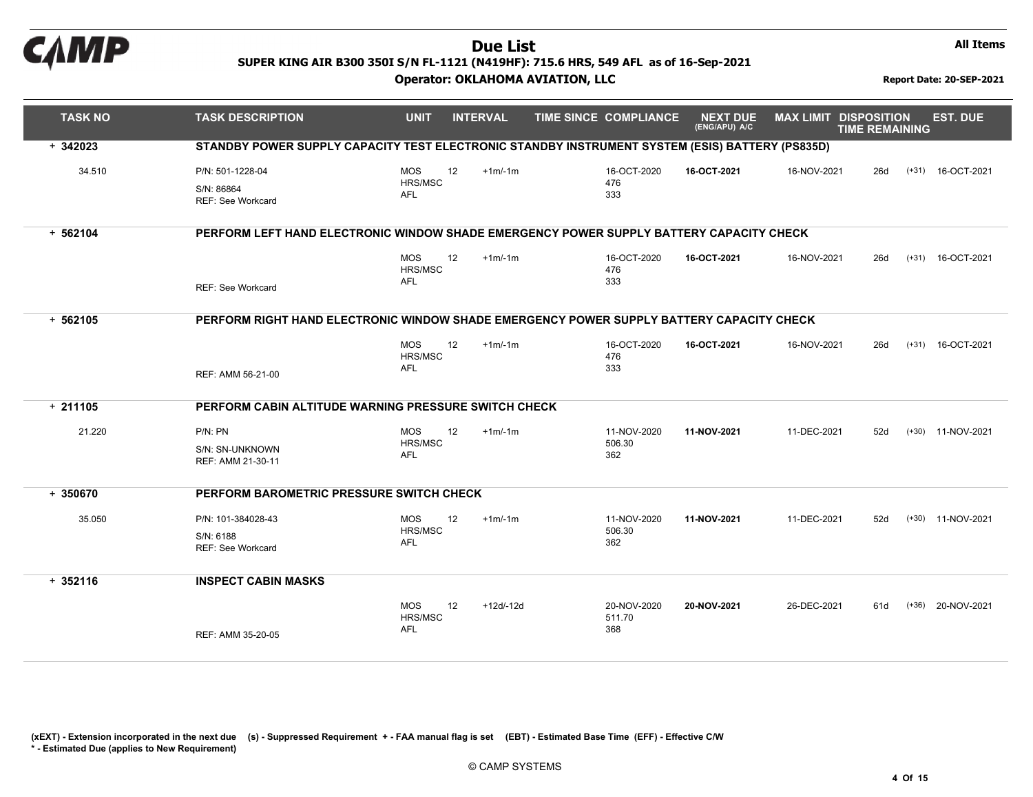

#### Operator: OKLAHOMA AVIATION, LLC Report Date: 20-SEP-2021

All Items

| <b>TASK NO</b> | <b>TASK DESCRIPTION</b>                                                                         | <b>UNIT</b>                               | <b>INTERVAL</b> | TIME SINCE COMPLIANCE        | <b>NEXT DUE</b><br>(ENG/APU) A/C | <b>MAX LIMIT DISPOSITION</b> | <b>TIME REMAINING</b> | <b>EST. DUE</b>     |
|----------------|-------------------------------------------------------------------------------------------------|-------------------------------------------|-----------------|------------------------------|----------------------------------|------------------------------|-----------------------|---------------------|
| $+342023$      | STANDBY POWER SUPPLY CAPACITY TEST ELECTRONIC STANDBY INSTRUMENT SYSTEM (ESIS) BATTERY (PS835D) |                                           |                 |                              |                                  |                              |                       |                     |
| 34.510         | P/N: 501-1228-04<br>S/N: 86864<br><b>REF: See Workcard</b>                                      | <b>MOS</b><br>12<br>HRS/MSC<br>AFL        | $+1m/1m$        | 16-OCT-2020<br>476<br>333    | 16-OCT-2021                      | 16-NOV-2021                  | 26d                   | $(+31)$ 16-OCT-2021 |
| $+ 562104$     | PERFORM LEFT HAND ELECTRONIC WINDOW SHADE EMERGENCY POWER SUPPLY BATTERY CAPACITY CHECK         |                                           |                 |                              |                                  |                              |                       |                     |
|                | <b>REF: See Workcard</b>                                                                        | 12<br><b>MOS</b><br>HRS/MSC<br>AFL        | $+1m/1m$        | 16-OCT-2020<br>476<br>333    | 16-OCT-2021                      | 16-NOV-2021                  | 26d                   | $(+31)$ 16-OCT-2021 |
| $+ 562105$     | PERFORM RIGHT HAND ELECTRONIC WINDOW SHADE EMERGENCY POWER SUPPLY BATTERY CAPACITY CHECK        |                                           |                 |                              |                                  |                              |                       |                     |
|                | REF: AMM 56-21-00                                                                               | <b>MOS</b><br>12<br>HRS/MSC<br>AFL        | $+1m/1m$        | 16-OCT-2020<br>476<br>333    | 16-OCT-2021                      | 16-NOV-2021                  | 26d                   | $(+31)$ 16-OCT-2021 |
| $+211105$      | PERFORM CABIN ALTITUDE WARNING PRESSURE SWITCH CHECK                                            |                                           |                 |                              |                                  |                              |                       |                     |
| 21.220         | P/N: PN<br>S/N: SN-UNKNOWN<br>REF: AMM 21-30-11                                                 | MOS<br>12<br>HRS/MSC<br><b>AFL</b>        | $+1m/1m$        | 11-NOV-2020<br>506.30<br>362 | 11-NOV-2021                      | 11-DEC-2021                  | 52d                   | $(+30)$ 11-NOV-2021 |
| $+350670$      | PERFORM BAROMETRIC PRESSURE SWITCH CHECK                                                        |                                           |                 |                              |                                  |                              |                       |                     |
| 35.050         | P/N: 101-384028-43<br>S/N: 6188<br><b>REF: See Workcard</b>                                     | 12<br><b>MOS</b><br>HRS/MSC<br>AFL        | $+1m/1m$        | 11-NOV-2020<br>506.30<br>362 | 11-NOV-2021                      | 11-DEC-2021                  | 52d                   | (+30) 11-NOV-2021   |
| $+352116$      | <b>INSPECT CABIN MASKS</b>                                                                      |                                           |                 |                              |                                  |                              |                       |                     |
|                | REF: AMM 35-20-05                                                                               | 12<br><b>MOS</b><br>HRS/MSC<br><b>AFL</b> | $+12d-12d$      | 20-NOV-2020<br>511.70<br>368 | 20-NOV-2021                      | 26-DEC-2021                  | 61d                   | (+36) 20-NOV-2021   |

(xEXT) - Extension incorporated in the next due (s) - Suppressed Requirement +- FAA manual flag is set (EBT) - Estimated Base Time(EFF) - Effective C/W

\* - Estimated Due (applies to New Requirement)

© CAMP SYSTEMS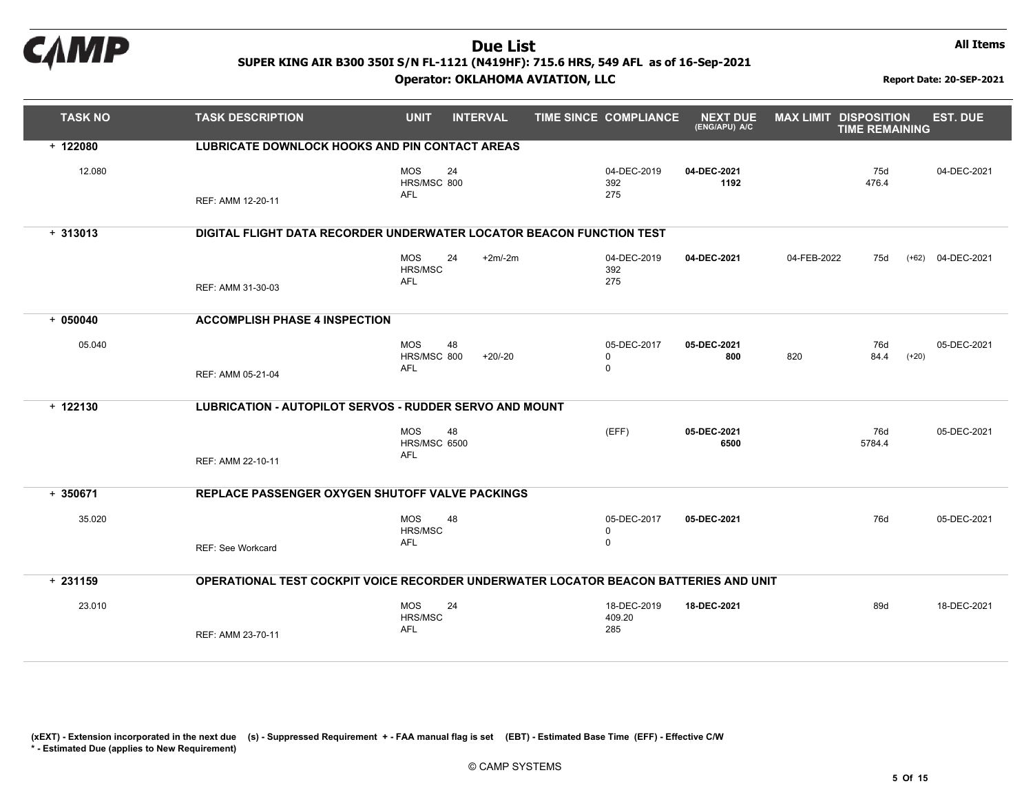

All Items

| <b>TASK NO</b> | <b>TASK DESCRIPTION</b>                                                              | <b>UNIT</b>                                     | <b>INTERVAL</b> | TIME SINCE COMPLIANCE               | <b>NEXT DUE</b><br>(ENG/APU) A/C | <b>MAX LIMIT DISPOSITION</b> | <b>TIME REMAINING</b> |         | <b>EST. DUE</b> |
|----------------|--------------------------------------------------------------------------------------|-------------------------------------------------|-----------------|-------------------------------------|----------------------------------|------------------------------|-----------------------|---------|-----------------|
| $+ 122080$     | <b>LUBRICATE DOWNLOCK HOOKS AND PIN CONTACT AREAS</b>                                |                                                 |                 |                                     |                                  |                              |                       |         |                 |
| 12.080         | REF: AMM 12-20-11                                                                    | <b>MOS</b><br>HRS/MSC 800<br><b>AFL</b>         | 24              | 04-DEC-2019<br>392<br>275           | 04-DEC-2021<br>1192              |                              | 75d<br>476.4          |         | 04-DEC-2021     |
| $+313013$      | DIGITAL FLIGHT DATA RECORDER UNDERWATER LOCATOR BEACON FUNCTION TEST                 |                                                 |                 |                                     |                                  |                              |                       |         |                 |
|                | REF: AMM 31-30-03                                                                    | <b>MOS</b><br><b>HRS/MSC</b><br><b>AFL</b>      | 24<br>$+2m/2m$  | 04-DEC-2019<br>392<br>275           | 04-DEC-2021                      | 04-FEB-2022                  | 75d                   | $(+62)$ | 04-DEC-2021     |
| $+050040$      | <b>ACCOMPLISH PHASE 4 INSPECTION</b>                                                 |                                                 |                 |                                     |                                  |                              |                       |         |                 |
| 05.040         | REF: AMM 05-21-04                                                                    | <b>MOS</b><br>HRS/MSC 800<br><b>AFL</b>         | 48<br>$+20/-20$ | 05-DEC-2017<br>$\Omega$<br>$\Omega$ | 05-DEC-2021<br>800               | 820                          | 76d<br>84.4           | $(+20)$ | 05-DEC-2021     |
|                |                                                                                      |                                                 |                 |                                     |                                  |                              |                       |         |                 |
| $+ 122130$     | <b>LUBRICATION - AUTOPILOT SERVOS - RUDDER SERVO AND MOUNT</b>                       |                                                 |                 |                                     |                                  |                              |                       |         |                 |
|                | REF: AMM 22-10-11                                                                    | <b>MOS</b><br><b>HRS/MSC 6500</b><br><b>AFL</b> | 48              | (EFF)                               | 05-DEC-2021<br>6500              |                              | 76d<br>5784.4         |         | 05-DEC-2021     |
| $+350671$      | REPLACE PASSENGER OXYGEN SHUTOFF VALVE PACKINGS                                      |                                                 |                 |                                     |                                  |                              |                       |         |                 |
| 35.020         | <b>REF: See Workcard</b>                                                             | <b>MOS</b><br>HRS/MSC<br>AFL                    | 48              | 05-DEC-2017<br>0<br>$\mathbf 0$     | 05-DEC-2021                      |                              | 76d                   |         | 05-DEC-2021     |
| $+231159$      | OPERATIONAL TEST COCKPIT VOICE RECORDER UNDERWATER LOCATOR BEACON BATTERIES AND UNIT |                                                 |                 |                                     |                                  |                              |                       |         |                 |
| 23.010         | REF: AMM 23-70-11                                                                    | <b>MOS</b><br>HRS/MSC<br>AFL                    | 24              | 18-DEC-2019<br>409.20<br>285        | 18-DEC-2021                      |                              | 89d                   |         | 18-DEC-2021     |

(xEXT) - Extension incorporated in the next due (s) - Suppressed Requirement +- FAA manual flag is set (EBT) - Estimated Base Time(EFF) - Effective C/W

\* - Estimated Due (applies to New Requirement)

© CAMP SYSTEMS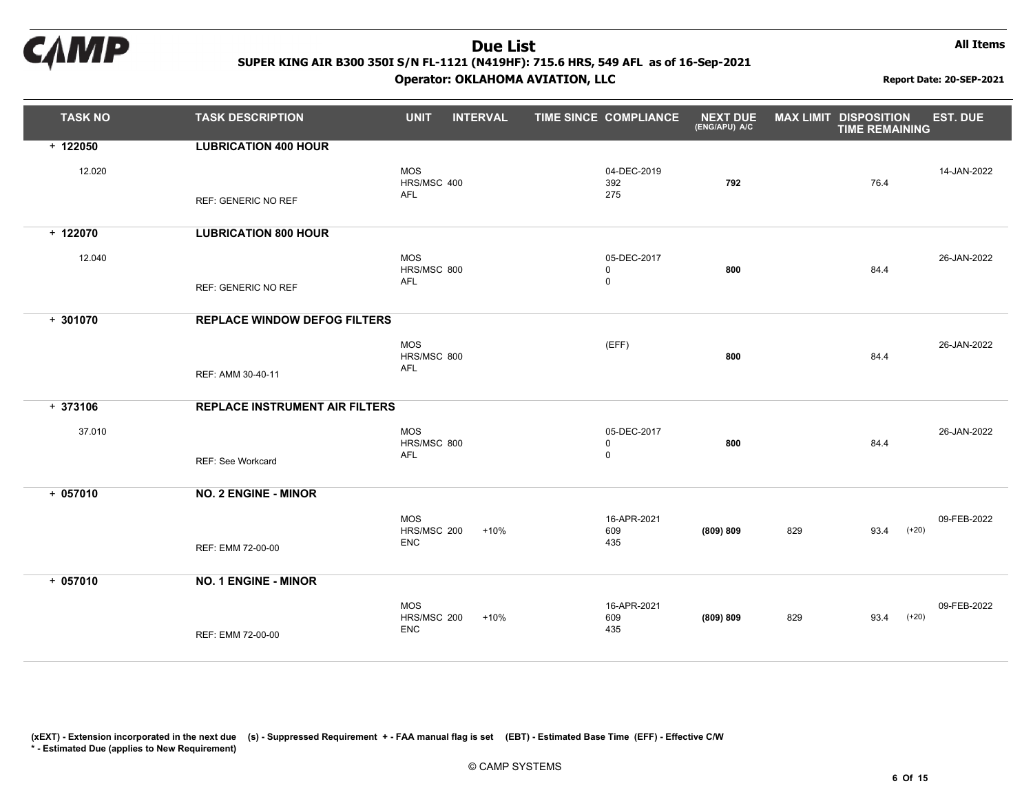

All Items

| <b>TASK NO</b>       | <b>TASK DESCRIPTION</b>                                           | <b>UNIT</b>                             | <b>INTERVAL</b> | TIME SINCE COMPLIANCE                     | <b>NEXT DUE</b><br>(ENG/APU) A/C | <b>MAX LIMIT DISPOSITION</b> | <b>TIME REMAINING</b> | <b>EST. DUE</b>        |
|----------------------|-------------------------------------------------------------------|-----------------------------------------|-----------------|-------------------------------------------|----------------------------------|------------------------------|-----------------------|------------------------|
| $+ 122050$<br>12.020 | <b>LUBRICATION 400 HOUR</b><br><b>REF: GENERIC NO REF</b>         | <b>MOS</b><br>HRS/MSC 400<br>AFL        |                 | 04-DEC-2019<br>392<br>275                 | 792                              |                              | 76.4                  | 14-JAN-2022            |
| $+ 122070$<br>12.040 | <b>LUBRICATION 800 HOUR</b><br><b>REF: GENERIC NO REF</b>         | <b>MOS</b><br>HRS/MSC 800<br>AFL        |                 | 05-DEC-2017<br>$\mathsf 0$<br>0           | 800                              |                              | 84.4                  | 26-JAN-2022            |
| $+301070$            | <b>REPLACE WINDOW DEFOG FILTERS</b><br>REF: AMM 30-40-11          | <b>MOS</b><br>HRS/MSC 800<br>AFL        |                 | (EFF)                                     | 800                              |                              | 84.4                  | 26-JAN-2022            |
| $+373106$<br>37.010  | <b>REPLACE INSTRUMENT AIR FILTERS</b><br><b>REF: See Workcard</b> | <b>MOS</b><br>HRS/MSC 800<br>AFL        |                 | 05-DEC-2017<br>$\mathbf 0$<br>$\mathbf 0$ | 800                              |                              | 84.4                  | 26-JAN-2022            |
| $+057010$            | <b>NO. 2 ENGINE - MINOR</b><br>REF: EMM 72-00-00                  | <b>MOS</b><br>HRS/MSC 200<br><b>ENC</b> | $+10%$          | 16-APR-2021<br>609<br>435                 | (809) 809                        | 829                          | 93.4                  | 09-FEB-2022<br>$(+20)$ |
| $+057010$            | <b>NO. 1 ENGINE - MINOR</b><br>REF: EMM 72-00-00                  | <b>MOS</b><br>HRS/MSC 200<br><b>ENC</b> | $+10%$          | 16-APR-2021<br>609<br>435                 | (809) 809                        | 829                          | 93.4                  | 09-FEB-2022<br>$(+20)$ |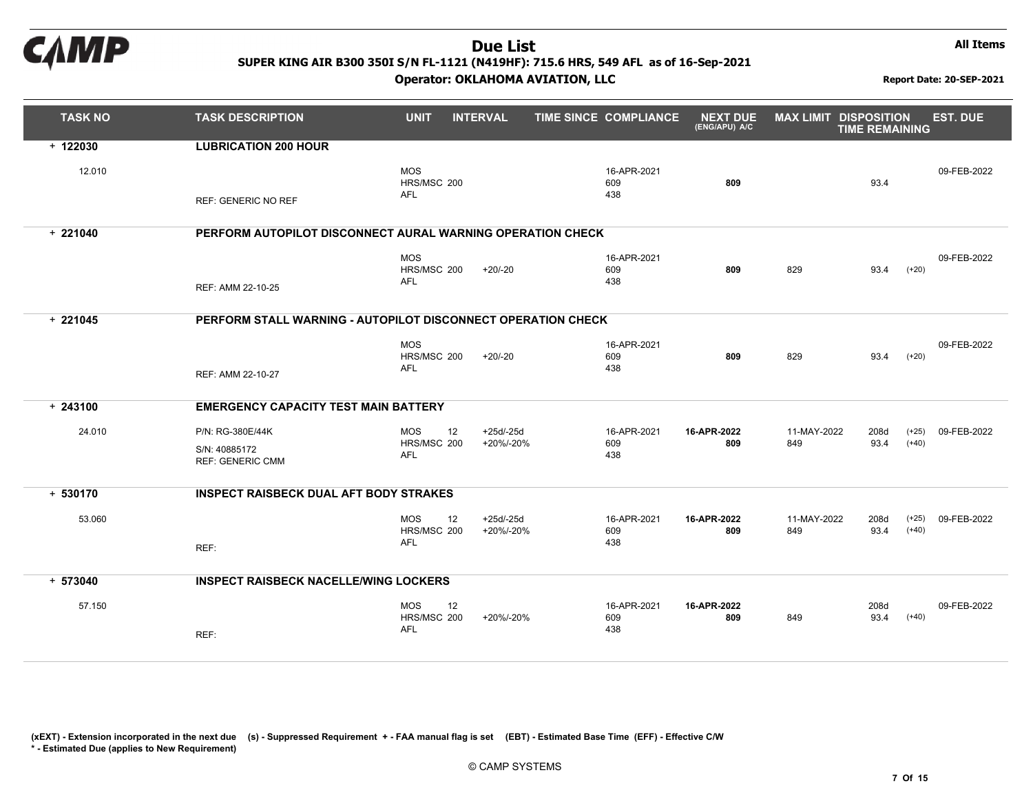

All Items

| <b>TASK NO</b> | <b>TASK DESCRIPTION</b>                                      | <b>UNIT</b>                                   | <b>INTERVAL</b>         | <b>TIME SINCE COMPLIANCE</b> | <b>NEXT DUE</b><br>(ENG/APU) A/C | <b>MAX LIMIT DISPOSITION</b> | <b>TIME REMAINING</b> |                    | <b>EST. DUE</b> |
|----------------|--------------------------------------------------------------|-----------------------------------------------|-------------------------|------------------------------|----------------------------------|------------------------------|-----------------------|--------------------|-----------------|
| $+ 122030$     | <b>LUBRICATION 200 HOUR</b>                                  |                                               |                         |                              |                                  |                              |                       |                    |                 |
| 12.010         | <b>REF: GENERIC NO REF</b>                                   | <b>MOS</b><br>HRS/MSC 200<br>AFL              |                         | 16-APR-2021<br>609<br>438    | 809                              |                              | 93.4                  |                    | 09-FEB-2022     |
| $+221040$      | PERFORM AUTOPILOT DISCONNECT AURAL WARNING OPERATION CHECK   |                                               |                         |                              |                                  |                              |                       |                    |                 |
|                | REF: AMM 22-10-25                                            | <b>MOS</b><br>HRS/MSC 200<br><b>AFL</b>       | $+20/20$                | 16-APR-2021<br>609<br>438    | 809                              | 829                          | 93.4                  | $(+20)$            | 09-FEB-2022     |
| $+221045$      | PERFORM STALL WARNING - AUTOPILOT DISCONNECT OPERATION CHECK |                                               |                         |                              |                                  |                              |                       |                    |                 |
|                | REF: AMM 22-10-27                                            | <b>MOS</b><br>HRS/MSC 200<br><b>AFL</b>       | $+20/-20$               | 16-APR-2021<br>609<br>438    | 809                              | 829                          | 93.4                  | $(+20)$            | 09-FEB-2022     |
| $+243100$      | <b>EMERGENCY CAPACITY TEST MAIN BATTERY</b>                  |                                               |                         |                              |                                  |                              |                       |                    |                 |
| 24.010         | P/N: RG-380E/44K<br>S/N: 40885172<br><b>REF: GENERIC CMM</b> | <b>MOS</b><br>12<br>HRS/MSC 200<br>AFL        | $+25d/25d$<br>+20%/-20% | 16-APR-2021<br>609<br>438    | 16-APR-2022<br>809               | 11-MAY-2022<br>849           | 208d<br>93.4          | $(+25)$<br>$(+40)$ | 09-FEB-2022     |
| $+ 530170$     | <b>INSPECT RAISBECK DUAL AFT BODY STRAKES</b>                |                                               |                         |                              |                                  |                              |                       |                    |                 |
| 53.060         | REF:                                                         | <b>MOS</b><br>12<br>HRS/MSC 200<br>AFL        | $+25d/25d$<br>+20%/-20% | 16-APR-2021<br>609<br>438    | 16-APR-2022<br>809               | 11-MAY-2022<br>849           | 208d<br>93.4          | $(+25)$<br>$(+40)$ | 09-FEB-2022     |
| $+ 573040$     | <b>INSPECT RAISBECK NACELLE/WING LOCKERS</b>                 |                                               |                         |                              |                                  |                              |                       |                    |                 |
| 57.150         | REF:                                                         | <b>MOS</b><br>12<br>HRS/MSC 200<br><b>AFL</b> | +20%/-20%               | 16-APR-2021<br>609<br>438    | 16-APR-2022<br>809               | 849                          | 208d<br>93.4          | $(+40)$            | 09-FEB-2022     |

(xEXT) - Extension incorporated in the next due (s) - Suppressed Requirement +- FAA manual flag is set (EBT) - Estimated Base Time(EFF) - Effective C/W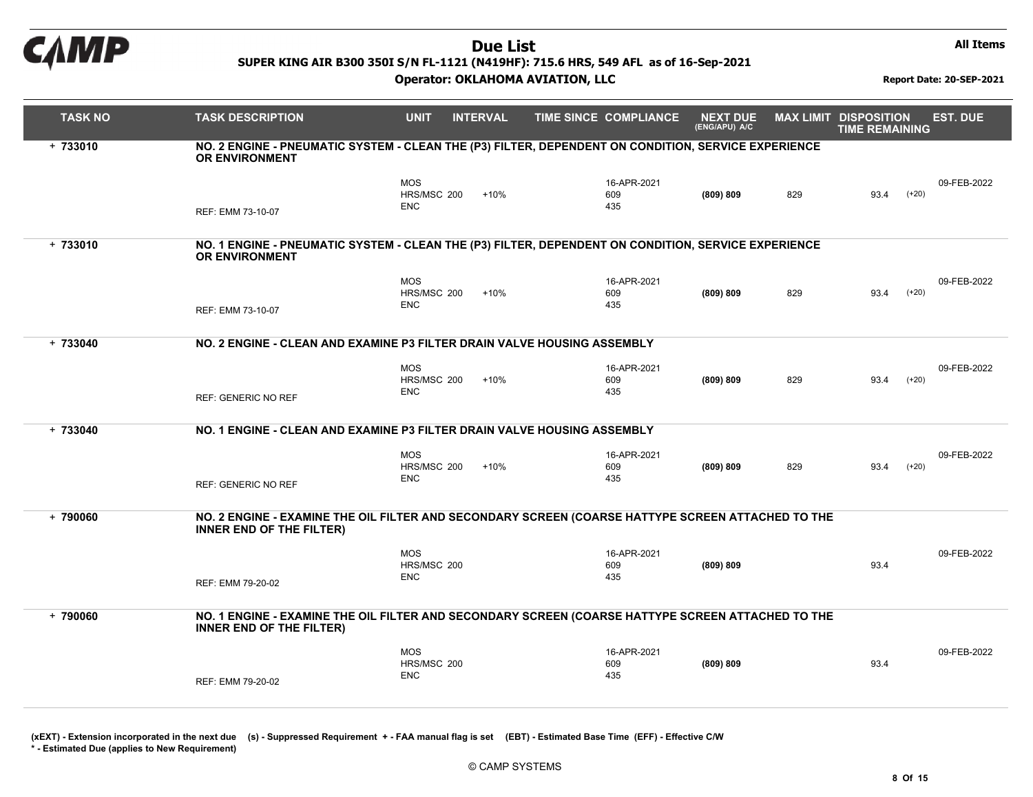

#### Operator: OKLAHOMA AVIATION, LLC Report Date: 20-SEP-2021

All Items

| <b>TASK NO</b> | <b>TASK DESCRIPTION</b>                                                                                                              | <b>UNIT</b>                             | <b>INTERVAL</b> | <b>TIME SINCE COMPLIANCE</b> | <b>NEXT DUE</b><br>(ENG/APU) A/C | <b>MAX LIMIT DISPOSITION</b> | <b>TIME REMAINING</b> |         | <b>EST. DUE</b> |
|----------------|--------------------------------------------------------------------------------------------------------------------------------------|-----------------------------------------|-----------------|------------------------------|----------------------------------|------------------------------|-----------------------|---------|-----------------|
| $+733010$      | NO. 2 ENGINE - PNEUMATIC SYSTEM - CLEAN THE (P3) FILTER, DEPENDENT ON CONDITION, SERVICE EXPERIENCE<br><b>OR ENVIRONMENT</b>         |                                         |                 |                              |                                  |                              |                       |         |                 |
|                | REF: EMM 73-10-07                                                                                                                    | <b>MOS</b><br>HRS/MSC 200<br><b>ENC</b> | $+10%$          | 16-APR-2021<br>609<br>435    | (809) 809                        | 829                          | 93.4                  | $(+20)$ | 09-FEB-2022     |
| $+733010$      | NO. 1 ENGINE - PNEUMATIC SYSTEM - CLEAN THE (P3) FILTER, DEPENDENT ON CONDITION, SERVICE EXPERIENCE<br><b>OR ENVIRONMENT</b>         |                                         |                 |                              |                                  |                              |                       |         |                 |
|                | REF: EMM 73-10-07                                                                                                                    | <b>MOS</b><br>HRS/MSC 200<br><b>ENC</b> | $+10%$          | 16-APR-2021<br>609<br>435    | (809) 809                        | 829                          | 93.4                  | $(+20)$ | 09-FEB-2022     |
| $+ 733040$     | NO. 2 ENGINE - CLEAN AND EXAMINE P3 FILTER DRAIN VALVE HOUSING ASSEMBLY                                                              |                                         |                 |                              |                                  |                              |                       |         |                 |
|                | REF: GENERIC NO REF                                                                                                                  | <b>MOS</b><br>HRS/MSC 200<br><b>ENC</b> | $+10%$          | 16-APR-2021<br>609<br>435    | (809) 809                        | 829                          | 93.4                  | $(+20)$ | 09-FEB-2022     |
| $+ 733040$     | NO. 1 ENGINE - CLEAN AND EXAMINE P3 FILTER DRAIN VALVE HOUSING ASSEMBLY                                                              |                                         |                 |                              |                                  |                              |                       |         |                 |
|                | <b>REF: GENERIC NO REF</b>                                                                                                           | <b>MOS</b><br>HRS/MSC 200<br><b>ENC</b> | $+10%$          | 16-APR-2021<br>609<br>435    | (809) 809                        | 829                          | 93.4                  | $(+20)$ | 09-FEB-2022     |
| $+ 790060$     | NO. 2 ENGINE - EXAMINE THE OIL FILTER AND SECONDARY SCREEN (COARSE HATTYPE SCREEN ATTACHED TO THE<br><b>INNER END OF THE FILTER)</b> |                                         |                 |                              |                                  |                              |                       |         |                 |
|                | REF: EMM 79-20-02                                                                                                                    | <b>MOS</b><br>HRS/MSC 200<br><b>ENC</b> |                 | 16-APR-2021<br>609<br>435    | (809) 809                        |                              | 93.4                  |         | 09-FEB-2022     |
| $+ 790060$     | NO. 1 ENGINE - EXAMINE THE OIL FILTER AND SECONDARY SCREEN (COARSE HATTYPE SCREEN ATTACHED TO THE<br><b>INNER END OF THE FILTER)</b> |                                         |                 |                              |                                  |                              |                       |         |                 |
|                | REF: EMM 79-20-02                                                                                                                    | <b>MOS</b><br>HRS/MSC 200<br><b>ENC</b> |                 | 16-APR-2021<br>609<br>435    | (809) 809                        |                              | 93.4                  |         | 09-FEB-2022     |

(xEXT) - Extension incorporated in the next due (s) - Suppressed Requirement +- FAA manual flag is set (EBT) - Estimated Base Time(EFF) - Effective C/W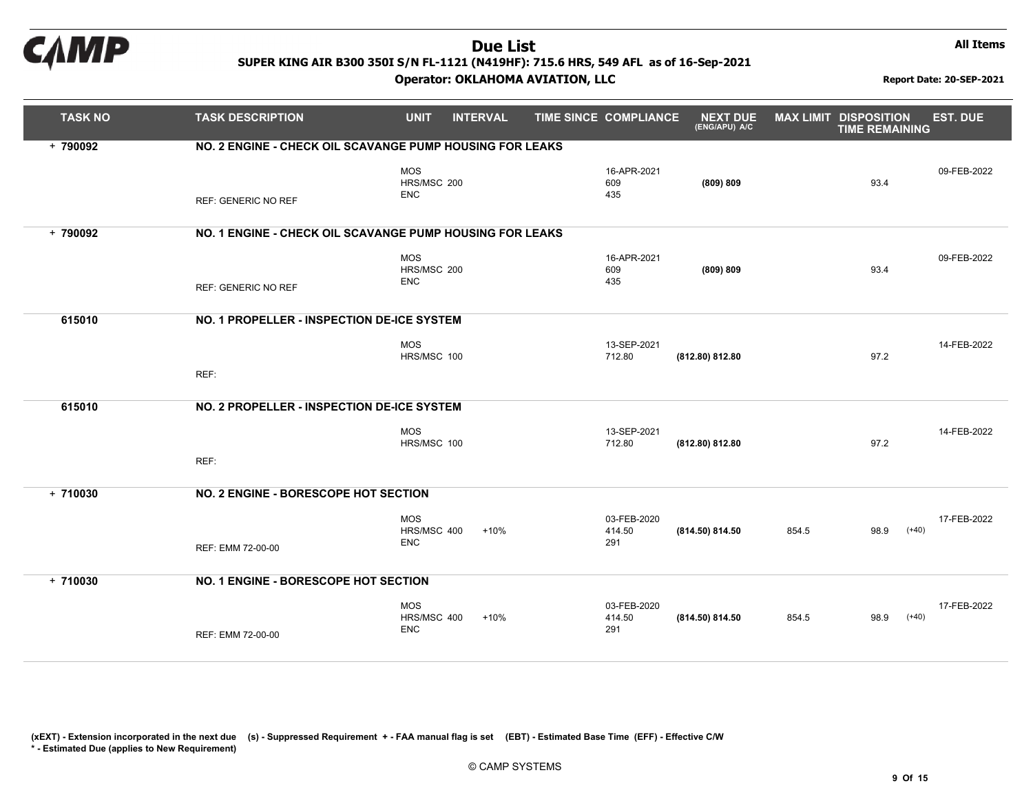

#### Operator: OKLAHOMA AVIATION, LLC Report Date: 20-SEP-2021

All Items

| <b>TASK NO</b> | <b>TASK DESCRIPTION</b>                                  | <b>UNIT</b>                             | <b>INTERVAL</b> | <b>TIME SINCE COMPLIANCE</b> | <b>NEXT DUE</b><br>(ENG/APU) A/C | <b>MAX LIMIT DISPOSITION</b> | <b>TIME REMAINING</b> | <b>EST. DUE</b>        |
|----------------|----------------------------------------------------------|-----------------------------------------|-----------------|------------------------------|----------------------------------|------------------------------|-----------------------|------------------------|
| + 790092       | NO. 2 ENGINE - CHECK OIL SCAVANGE PUMP HOUSING FOR LEAKS |                                         |                 |                              |                                  |                              |                       |                        |
|                | <b>REF: GENERIC NO REF</b>                               | <b>MOS</b><br>HRS/MSC 200<br><b>ENC</b> |                 | 16-APR-2021<br>609<br>435    | (809) 809                        |                              | 93.4                  | 09-FEB-2022            |
| $+ 790092$     | NO. 1 ENGINE - CHECK OIL SCAVANGE PUMP HOUSING FOR LEAKS |                                         |                 |                              |                                  |                              |                       |                        |
|                | <b>REF: GENERIC NO REF</b>                               | <b>MOS</b><br>HRS/MSC 200<br><b>ENC</b> |                 | 16-APR-2021<br>609<br>435    | (809) 809                        |                              | 93.4                  | 09-FEB-2022            |
| 615010         | NO. 1 PROPELLER - INSPECTION DE-ICE SYSTEM               |                                         |                 |                              |                                  |                              |                       |                        |
|                |                                                          | <b>MOS</b><br>HRS/MSC 100               |                 | 13-SEP-2021<br>712.80        | (812.80) 812.80                  |                              | 97.2                  | 14-FEB-2022            |
|                | REF:                                                     |                                         |                 |                              |                                  |                              |                       |                        |
| 615010         | NO. 2 PROPELLER - INSPECTION DE-ICE SYSTEM               |                                         |                 |                              |                                  |                              |                       |                        |
|                |                                                          | <b>MOS</b><br>HRS/MSC 100               |                 | 13-SEP-2021<br>712.80        | (812.80) 812.80                  |                              | 97.2                  | 14-FEB-2022            |
|                | REF:                                                     |                                         |                 |                              |                                  |                              |                       |                        |
| $+710030$      | NO. 2 ENGINE - BORESCOPE HOT SECTION                     |                                         |                 |                              |                                  |                              |                       |                        |
|                | REF: EMM 72-00-00                                        | <b>MOS</b><br>HRS/MSC 400<br><b>ENC</b> | $+10%$          | 03-FEB-2020<br>414.50<br>291 | (814.50) 814.50                  | 854.5                        | 98.9                  | 17-FEB-2022<br>$(+40)$ |
| $+710030$      | NO. 1 ENGINE - BORESCOPE HOT SECTION                     |                                         |                 |                              |                                  |                              |                       |                        |
|                | REF: EMM 72-00-00                                        | <b>MOS</b><br>HRS/MSC 400<br><b>ENC</b> | $+10%$          | 03-FEB-2020<br>414.50<br>291 | (814.50) 814.50                  | 854.5                        | 98.9                  | 17-FEB-2022<br>$(+40)$ |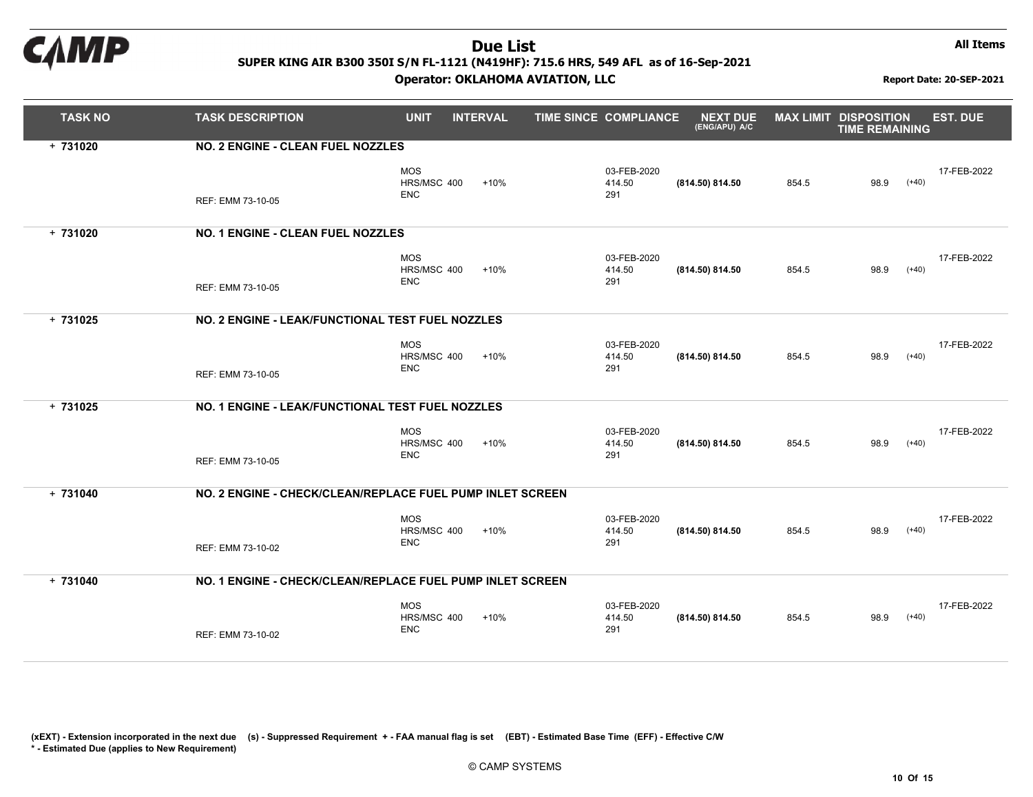

#### Operator: OKLAHOMA AVIATION, LLC Report Date: 20-SEP-2021

All Items

| <b>TASK NO</b> | <b>TASK DESCRIPTION</b>                                   | <b>UNIT</b>                             | <b>INTERVAL</b> | TIME SINCE COMPLIANCE        | <b>NEXT DUE</b><br>(ENG/APU) A/C | <b>MAX LIMIT DISPOSITION</b> | <b>TIME REMAINING</b> |         | <b>EST. DUE</b> |
|----------------|-----------------------------------------------------------|-----------------------------------------|-----------------|------------------------------|----------------------------------|------------------------------|-----------------------|---------|-----------------|
| $+731020$      | NO. 2 ENGINE - CLEAN FUEL NOZZLES                         |                                         |                 |                              |                                  |                              |                       |         |                 |
|                | REF: EMM 73-10-05                                         | <b>MOS</b><br>HRS/MSC 400<br><b>ENC</b> | $+10%$          | 03-FEB-2020<br>414.50<br>291 | (814.50) 814.50                  | 854.5                        | 98.9                  | $(+40)$ | 17-FEB-2022     |
| $+731020$      | NO. 1 ENGINE - CLEAN FUEL NOZZLES                         |                                         |                 |                              |                                  |                              |                       |         |                 |
|                | REF: EMM 73-10-05                                         | <b>MOS</b><br>HRS/MSC 400<br><b>ENC</b> | $+10%$          | 03-FEB-2020<br>414.50<br>291 | (814.50) 814.50                  | 854.5                        | 98.9                  | $(+40)$ | 17-FEB-2022     |
| $+731025$      | NO. 2 ENGINE - LEAK/FUNCTIONAL TEST FUEL NOZZLES          |                                         |                 |                              |                                  |                              |                       |         |                 |
|                | REF: EMM 73-10-05                                         | <b>MOS</b><br>HRS/MSC 400<br><b>ENC</b> | $+10%$          | 03-FEB-2020<br>414.50<br>291 | (814.50) 814.50                  | 854.5                        | 98.9                  | $(+40)$ | 17-FEB-2022     |
| $+731025$      | NO. 1 ENGINE - LEAK/FUNCTIONAL TEST FUEL NOZZLES          |                                         |                 |                              |                                  |                              |                       |         |                 |
|                | REF: EMM 73-10-05                                         | <b>MOS</b><br>HRS/MSC 400<br><b>ENC</b> | $+10%$          | 03-FEB-2020<br>414.50<br>291 | (814.50) 814.50                  | 854.5                        | 98.9                  | $(+40)$ | 17-FEB-2022     |
| $+731040$      | NO. 2 ENGINE - CHECK/CLEAN/REPLACE FUEL PUMP INLET SCREEN |                                         |                 |                              |                                  |                              |                       |         |                 |
|                | REF: EMM 73-10-02                                         | <b>MOS</b><br>HRS/MSC 400<br><b>ENC</b> | $+10%$          | 03-FEB-2020<br>414.50<br>291 | (814.50) 814.50                  | 854.5                        | 98.9                  | $(+40)$ | 17-FEB-2022     |
| $+731040$      | NO. 1 ENGINE - CHECK/CLEAN/REPLACE FUEL PUMP INLET SCREEN |                                         |                 |                              |                                  |                              |                       |         |                 |
|                | REF: EMM 73-10-02                                         | <b>MOS</b><br>HRS/MSC 400<br><b>ENC</b> | $+10%$          | 03-FEB-2020<br>414.50<br>291 | (814.50) 814.50                  | 854.5                        | 98.9                  | $(+40)$ | 17-FEB-2022     |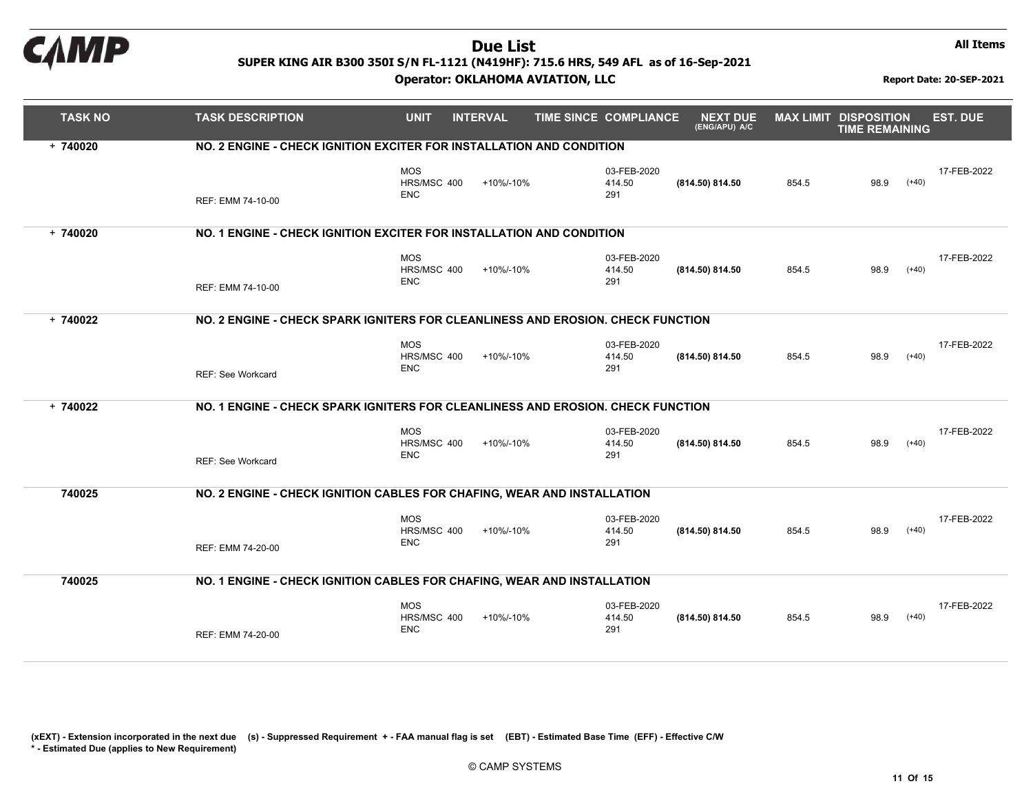

#### Operator: OKLAHOMA AVIATION, LLC Report Date: 20-SEP-2021

All Items

| <b>TASK NO</b> | <b>TASK DESCRIPTION</b>                                                         | <b>UNIT</b>                             | <b>INTERVAL</b> | TIME SINCE COMPLIANCE        | <b>NEXT DUE</b><br>(ENG/APU) A/C | <b>MAX LIMIT DISPOSITION</b> | <b>TIME REMAINING</b> | <b>EST. DUE</b> |
|----------------|---------------------------------------------------------------------------------|-----------------------------------------|-----------------|------------------------------|----------------------------------|------------------------------|-----------------------|-----------------|
| $+ 740020$     | NO. 2 ENGINE - CHECK IGNITION EXCITER FOR INSTALLATION AND CONDITION            |                                         |                 |                              |                                  |                              |                       |                 |
|                | REF: EMM 74-10-00                                                               | <b>MOS</b><br>HRS/MSC 400<br><b>ENC</b> | +10%/-10%       | 03-FEB-2020<br>414.50<br>291 | (814.50) 814.50                  | 854.5                        | 98.9<br>$(+40)$       | 17-FEB-2022     |
| $+740020$      | NO. 1 ENGINE - CHECK IGNITION EXCITER FOR INSTALLATION AND CONDITION            |                                         |                 |                              |                                  |                              |                       |                 |
|                | REF: EMM 74-10-00                                                               | <b>MOS</b><br>HRS/MSC 400<br><b>ENC</b> | +10%/-10%       | 03-FEB-2020<br>414.50<br>291 | (814.50) 814.50                  | 854.5                        | $(+40)$<br>98.9       | 17-FEB-2022     |
| $+ 740022$     | NO. 2 ENGINE - CHECK SPARK IGNITERS FOR CLEANLINESS AND EROSION. CHECK FUNCTION |                                         |                 |                              |                                  |                              |                       |                 |
|                | REF: See Workcard                                                               | <b>MOS</b><br>HRS/MSC 400<br><b>ENC</b> | +10%/-10%       | 03-FEB-2020<br>414.50<br>291 | (814.50) 814.50                  | 854.5                        | 98.9<br>$(+40)$       | 17-FEB-2022     |
| $+ 740022$     | NO. 1 ENGINE - CHECK SPARK IGNITERS FOR CLEANLINESS AND EROSION. CHECK FUNCTION |                                         |                 |                              |                                  |                              |                       |                 |
|                | REF: See Workcard                                                               | <b>MOS</b><br>HRS/MSC 400<br><b>ENC</b> | +10%/-10%       | 03-FEB-2020<br>414.50<br>291 | (814.50) 814.50                  | 854.5                        | $(+40)$<br>98.9       | 17-FEB-2022     |
| 740025         | NO. 2 ENGINE - CHECK IGNITION CABLES FOR CHAFING, WEAR AND INSTALLATION         |                                         |                 |                              |                                  |                              |                       |                 |
|                | REF: EMM 74-20-00                                                               | <b>MOS</b><br>HRS/MSC 400<br><b>ENC</b> | +10%/-10%       | 03-FEB-2020<br>414.50<br>291 | (814.50) 814.50                  | 854.5                        | $(+40)$<br>98.9       | 17-FEB-2022     |
| 740025         | NO. 1 ENGINE - CHECK IGNITION CABLES FOR CHAFING, WEAR AND INSTALLATION         |                                         |                 |                              |                                  |                              |                       |                 |
|                | REF: EMM 74-20-00                                                               | <b>MOS</b><br>HRS/MSC 400<br><b>ENC</b> | +10%/-10%       | 03-FEB-2020<br>414.50<br>291 | (814.50) 814.50                  | 854.5                        | 98.9<br>$(+40)$       | 17-FEB-2022     |

(xEXT) - Extension incorporated in the next due (s) - Suppressed Requirement +- FAA manual flag is set (EBT) - Estimated Base Time(EFF) - Effective C/W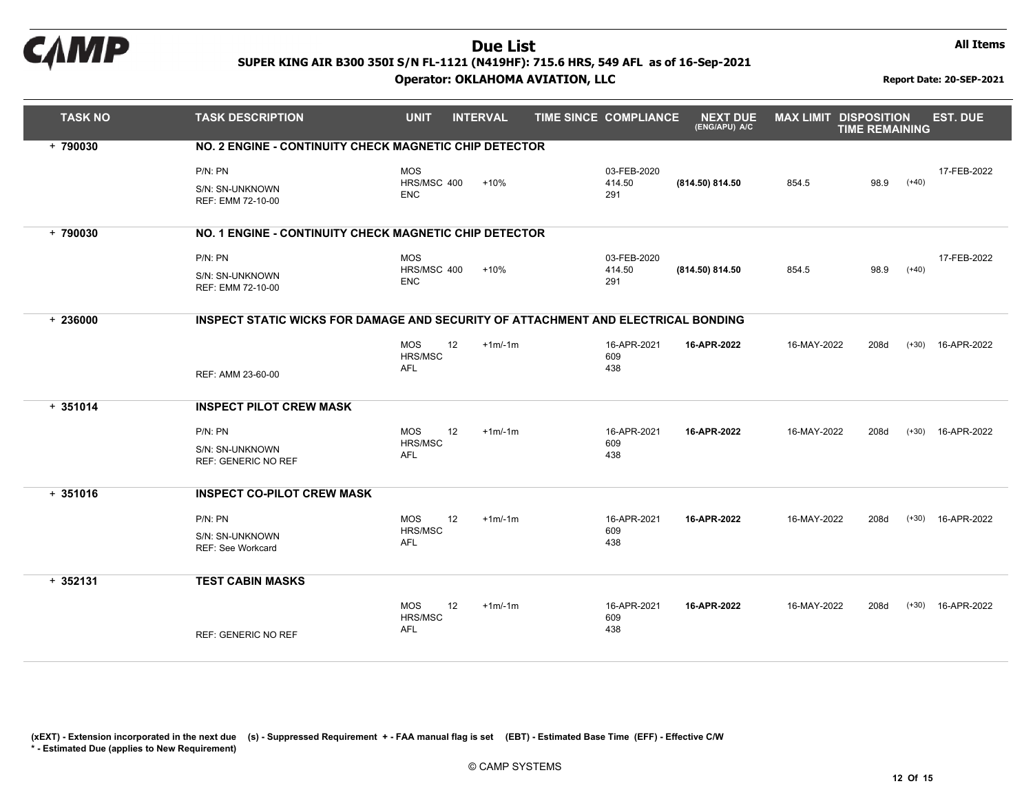

#### Operator: OKLAHOMA AVIATION, LLC Report Date: 20-SEP-2021

All Items

| <b>TASK NO</b> | <b>TASK DESCRIPTION</b>                                                           | <b>UNIT</b>                               | <b>INTERVAL</b> | TIME SINCE COMPLIANCE        | <b>NEXT DUE</b><br>(ENG/APU) A/C | <b>MAX LIMIT DISPOSITION</b> | <b>TIME REMAINING</b> |         | <b>EST. DUE</b>     |
|----------------|-----------------------------------------------------------------------------------|-------------------------------------------|-----------------|------------------------------|----------------------------------|------------------------------|-----------------------|---------|---------------------|
| $+ 790030$     | NO. 2 ENGINE - CONTINUITY CHECK MAGNETIC CHIP DETECTOR                            |                                           |                 |                              |                                  |                              |                       |         |                     |
|                | P/N: PN<br>S/N: SN-UNKNOWN<br>REF: EMM 72-10-00                                   | <b>MOS</b><br>HRS/MSC 400<br><b>ENC</b>   | $+10%$          | 03-FEB-2020<br>414.50<br>291 | (814.50) 814.50                  | 854.5                        | 98.9                  | $(+40)$ | 17-FEB-2022         |
|                |                                                                                   |                                           |                 |                              |                                  |                              |                       |         |                     |
| $+ 790030$     | NO. 1 ENGINE - CONTINUITY CHECK MAGNETIC CHIP DETECTOR                            |                                           |                 |                              |                                  |                              |                       |         |                     |
|                | $P/N$ : $PN$                                                                      | <b>MOS</b>                                |                 | 03-FEB-2020                  |                                  |                              |                       |         | 17-FEB-2022         |
|                | S/N: SN-UNKNOWN<br>REF: EMM 72-10-00                                              | HRS/MSC 400<br><b>ENC</b>                 | $+10%$          | 414.50<br>291                | (814.50) 814.50                  | 854.5                        | 98.9                  | $(+40)$ |                     |
| $+236000$      | INSPECT STATIC WICKS FOR DAMAGE AND SECURITY OF ATTACHMENT AND ELECTRICAL BONDING |                                           |                 |                              |                                  |                              |                       |         |                     |
|                |                                                                                   | 12<br><b>MOS</b><br>HRS/MSC               | $+1m/1m$        | 16-APR-2021<br>609           | 16-APR-2022                      | 16-MAY-2022                  | 208d                  |         | $(+30)$ 16-APR-2022 |
|                | REF: AMM 23-60-00                                                                 | <b>AFL</b>                                |                 | 438                          |                                  |                              |                       |         |                     |
| $+351014$      | <b>INSPECT PILOT CREW MASK</b>                                                    |                                           |                 |                              |                                  |                              |                       |         |                     |
|                | P/N: PN                                                                           | <b>MOS</b><br>12                          | $+1m/1m$        | 16-APR-2021                  | 16-APR-2022                      | 16-MAY-2022                  | 208d                  |         | $(+30)$ 16-APR-2022 |
|                | S/N: SN-UNKNOWN<br><b>REF: GENERIC NO REF</b>                                     | HRS/MSC<br><b>AFL</b>                     |                 | 609<br>438                   |                                  |                              |                       |         |                     |
| $+351016$      | <b>INSPECT CO-PILOT CREW MASK</b>                                                 |                                           |                 |                              |                                  |                              |                       |         |                     |
|                | $P/N$ : $PN$                                                                      | 12<br><b>MOS</b>                          | $+1m/1m$        | 16-APR-2021                  | 16-APR-2022                      | 16-MAY-2022                  | 208d                  |         | $(+30)$ 16-APR-2022 |
|                | S/N: SN-UNKNOWN<br>REF: See Workcard                                              | <b>HRS/MSC</b><br>AFL                     |                 | 609<br>438                   |                                  |                              |                       |         |                     |
| $+352131$      | <b>TEST CABIN MASKS</b>                                                           |                                           |                 |                              |                                  |                              |                       |         |                     |
|                | <b>REF: GENERIC NO REF</b>                                                        | 12<br>MOS<br><b>HRS/MSC</b><br><b>AFL</b> | $+1m/1m$        | 16-APR-2021<br>609<br>438    | 16-APR-2022                      | 16-MAY-2022                  | 208d                  |         | $(+30)$ 16-APR-2022 |
|                |                                                                                   |                                           |                 |                              |                                  |                              |                       |         |                     |

(xEXT) - Extension incorporated in the next due (s) - Suppressed Requirement +- FAA manual flag is set (EBT) - Estimated Base Time(EFF) - Effective C/W

\* - Estimated Due (applies to New Requirement)

© CAMP SYSTEMS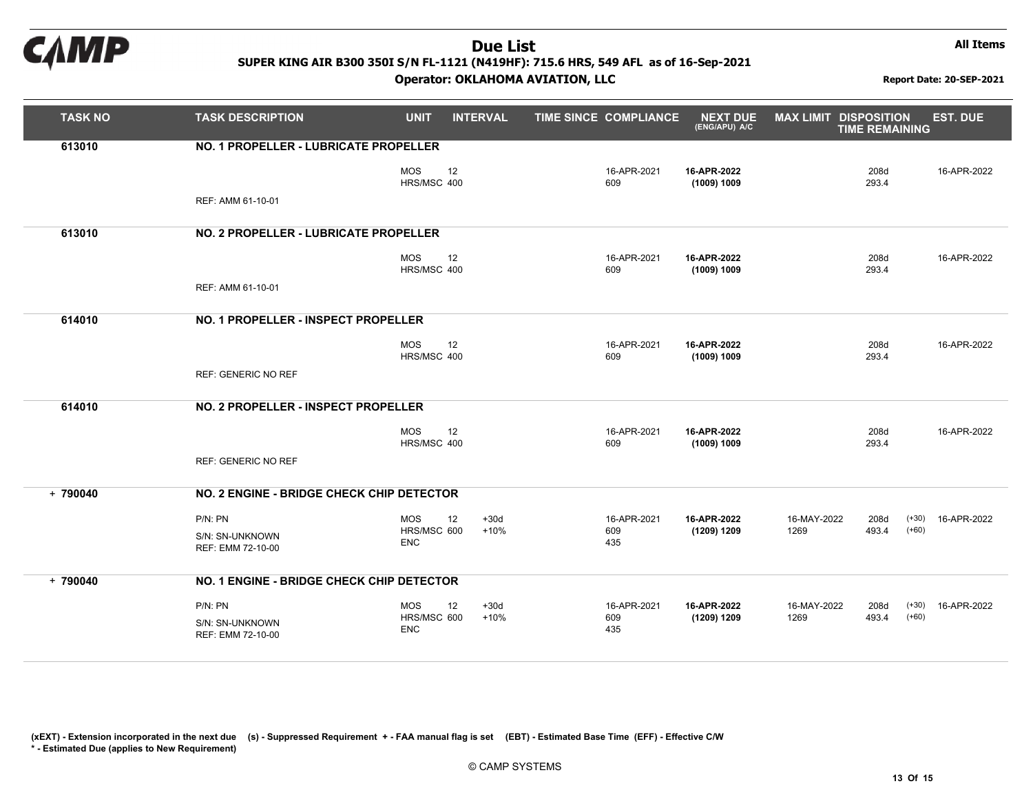

All Items

| <b>TASK NO</b> | <b>TASK DESCRIPTION</b>                   | <b>UNIT</b>                     | <b>INTERVAL</b> | TIME SINCE COMPLIANCE | <b>NEXT DUE</b><br>(ENG/APU) A/C | <b>MAX LIMIT DISPOSITION</b> | <b>TIME REMAINING</b> | <b>EST. DUE</b>     |
|----------------|-------------------------------------------|---------------------------------|-----------------|-----------------------|----------------------------------|------------------------------|-----------------------|---------------------|
| 613010         | NO. 1 PROPELLER - LUBRICATE PROPELLER     |                                 |                 |                       |                                  |                              |                       |                     |
|                |                                           | <b>MOS</b><br>12<br>HRS/MSC 400 |                 | 16-APR-2021<br>609    | 16-APR-2022<br>(1009) 1009       |                              | 208d<br>293.4         | 16-APR-2022         |
|                | REF: AMM 61-10-01                         |                                 |                 |                       |                                  |                              |                       |                     |
| 613010         | NO. 2 PROPELLER - LUBRICATE PROPELLER     |                                 |                 |                       |                                  |                              |                       |                     |
|                |                                           | 12<br><b>MOS</b><br>HRS/MSC 400 |                 | 16-APR-2021<br>609    | 16-APR-2022<br>(1009) 1009       |                              | 208d<br>293.4         | 16-APR-2022         |
|                | REF: AMM 61-10-01                         |                                 |                 |                       |                                  |                              |                       |                     |
| 614010         | NO. 1 PROPELLER - INSPECT PROPELLER       |                                 |                 |                       |                                  |                              |                       |                     |
|                |                                           | 12<br><b>MOS</b><br>HRS/MSC 400 |                 | 16-APR-2021<br>609    | 16-APR-2022<br>(1009) 1009       |                              | 208d<br>293.4         | 16-APR-2022         |
|                | <b>REF: GENERIC NO REF</b>                |                                 |                 |                       |                                  |                              |                       |                     |
| 614010         | NO. 2 PROPELLER - INSPECT PROPELLER       |                                 |                 |                       |                                  |                              |                       |                     |
|                |                                           | <b>MOS</b><br>12<br>HRS/MSC 400 |                 | 16-APR-2021<br>609    | 16-APR-2022<br>(1009) 1009       |                              | 208d<br>293.4         | 16-APR-2022         |
|                | <b>REF: GENERIC NO REF</b>                |                                 |                 |                       |                                  |                              |                       |                     |
| $+ 790040$     | NO. 2 ENGINE - BRIDGE CHECK CHIP DETECTOR |                                 |                 |                       |                                  |                              |                       |                     |
|                | P/N: PN                                   | 12<br>MOS                       | $+30d$          | 16-APR-2021           | 16-APR-2022                      | 16-MAY-2022                  | 208d                  | $(+30)$ 16-APR-2022 |
|                | S/N: SN-UNKNOWN<br>REF: EMM 72-10-00      | HRS/MSC 600<br><b>ENC</b>       | $+10%$          | 609<br>435            | (1209) 1209                      | 1269                         | 493.4                 | $(+60)$             |
| $+ 790040$     | NO. 1 ENGINE - BRIDGE CHECK CHIP DETECTOR |                                 |                 |                       |                                  |                              |                       |                     |
|                | P/N: PN                                   | <b>MOS</b><br>12                | $+30d$          | 16-APR-2021           | 16-APR-2022                      | 16-MAY-2022                  | 208d                  | $(+30)$ 16-APR-2022 |
|                | S/N: SN-UNKNOWN<br>REF: EMM 72-10-00      | HRS/MSC 600<br><b>ENC</b>       | $+10%$          | 609<br>435            | (1209) 1209                      | 1269                         | 493.4                 | $(+60)$             |
|                |                                           |                                 |                 |                       |                                  |                              |                       |                     |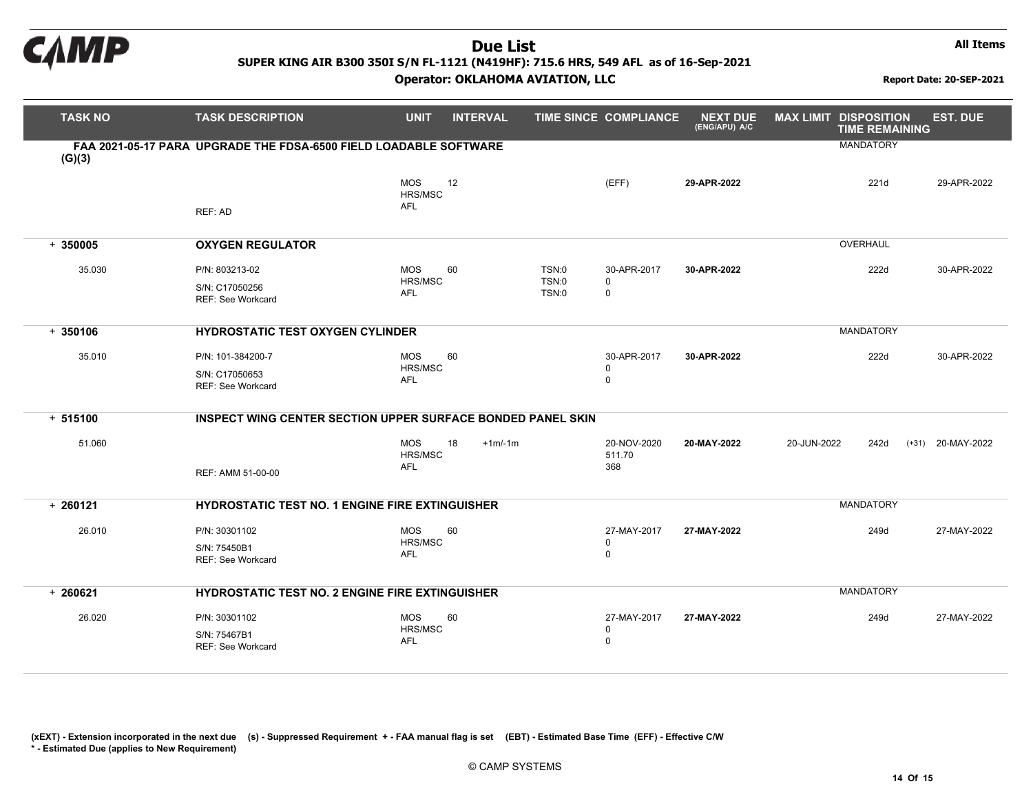

All Items

| <b>TASK NO</b> | <b>TASK DESCRIPTION</b>                                                    | <b>UNIT</b>                         | <b>INTERVAL</b> |                         | <b>TIME SINCE COMPLIANCE</b>              | <b>NEXT DUE</b><br>(ENG/APU) A/C | <b>MAX LIMIT DISPOSITION</b><br><b>TIME REMAINING</b> | <b>EST. DUE</b>        |
|----------------|----------------------------------------------------------------------------|-------------------------------------|-----------------|-------------------------|-------------------------------------------|----------------------------------|-------------------------------------------------------|------------------------|
| (G)(3)         | FAA 2021-05-17 PARA UPGRADE THE FDSA-6500 FIELD LOADABLE SOFTWARE          |                                     |                 |                         |                                           |                                  | <b>MANDATORY</b>                                      |                        |
|                | REF: AD                                                                    | <b>MOS</b><br>HRS/MSC<br><b>AFL</b> | 12              |                         | (EFF)                                     | 29-APR-2022                      | 221d                                                  | 29-APR-2022            |
| $+350005$      | <b>OXYGEN REGULATOR</b>                                                    |                                     |                 |                         |                                           |                                  | <b>OVERHAUL</b>                                       |                        |
| 35.030         | P/N: 803213-02<br>S/N: C17050256<br><b>REF: See Workcard</b>               | <b>MOS</b><br>HRS/MSC<br><b>AFL</b> | 60              | TSN:0<br>TSN:0<br>TSN:0 | 30-APR-2017<br>$\mathbf 0$<br>$\mathbf 0$ | 30-APR-2022                      | 222d                                                  | 30-APR-2022            |
| $+350106$      | <b>MANDATORY</b><br><b>HYDROSTATIC TEST OXYGEN CYLINDER</b>                |                                     |                 |                         |                                           |                                  |                                                       |                        |
| 35.010         | P/N: 101-384200-7<br>S/N: C17050653<br><b>REF: See Workcard</b>            | <b>MOS</b><br>HRS/MSC<br><b>AFL</b> | 60              |                         | 30-APR-2017<br>$\mathbf 0$<br>$\pmb{0}$   | 30-APR-2022                      | 222d                                                  | 30-APR-2022            |
| $+ 515100$     | INSPECT WING CENTER SECTION UPPER SURFACE BONDED PANEL SKIN                |                                     |                 |                         |                                           |                                  |                                                       |                        |
| 51.060         | REF: AMM 51-00-00                                                          | <b>MOS</b><br>HRS/MSC<br><b>AFL</b> | 18<br>$+1m/1m$  |                         | 20-NOV-2020<br>511.70<br>368              | 20-MAY-2022                      | 20-JUN-2022<br>242d                                   | $(+31)$<br>20-MAY-2022 |
| $+260121$      | <b>MANDATORY</b><br><b>HYDROSTATIC TEST NO. 1 ENGINE FIRE EXTINGUISHER</b> |                                     |                 |                         |                                           |                                  |                                                       |                        |
| 26.010         | P/N: 30301102<br>S/N: 75450B1<br><b>REF: See Workcard</b>                  | <b>MOS</b><br>HRS/MSC<br>AFL        | 60              |                         | 27-MAY-2017<br>$\pmb{0}$<br>$\mathbf 0$   | 27-MAY-2022                      | 249d                                                  | 27-MAY-2022            |
| $+260621$      | <b>HYDROSTATIC TEST NO. 2 ENGINE FIRE EXTINGUISHER</b>                     |                                     |                 |                         |                                           |                                  | <b>MANDATORY</b>                                      |                        |
| 26.020         | P/N: 30301102<br>S/N: 75467B1<br><b>REF: See Workcard</b>                  | <b>MOS</b><br>HRS/MSC<br><b>AFL</b> | 60              |                         | 27-MAY-2017<br>0<br>$\mathbf 0$           | 27-MAY-2022                      | 249d                                                  | 27-MAY-2022            |

(xEXT) - Extension incorporated in the next due (s) - Suppressed Requirement +- FAA manual flag is set (EBT) - Estimated Base Time(EFF) - Effective C/W